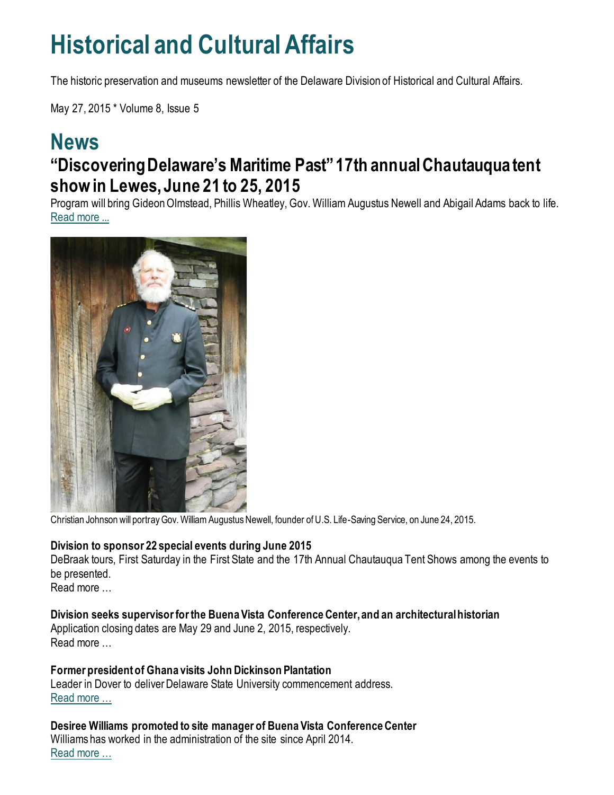## **Historical and Cultural Affairs**

The historic preservation and museums newsletter of the Delaware Division of Historical and Cultural Affairs.

May 27, 2015 \* Volume 8, Issue 5

### **News "Discovering Delaware's Maritime Past" 17th annual Chautauqua tent show in Lewes, June 21 to 25, 2015**

Program will bring Gideon Olmstead, Phillis Wheatley, Gov. William Augustus Newell and Abigail Adams back to life. [Read more ...](https://news.delaware.gov/2015/04/16/discovering-delawares-maritime-past-17th-annual-chautauqua-tent-show-to-take-place-in-lewes-del-from-june-21-25-2015/)



Christian Johnson will portray Gov. William Augustus Newell, founder of U.S. Life-Saving Service, on June 24, 2015.

#### **Division to sponsor 22 special events during June 2015**

DeBraak tours, First Saturday in the First State and the 17th Annual Chautauqua Tent Shows among the events to be presented.

Read more …

#### **Division seeks supervisor for the Buena Vista Conference Center, and an architectural historian**

Application closing dates are May 29 and June 2, 2015, respectively. Read more …

#### **Former president of Ghana visits John Dickinson Plantation**

Leader in Dover to deliver Delaware State University commencement address. [Read more …](https://history.delaware.gov/2015/05/21/former-president-of-ghana-visits-john-dickinson-plantation/)

**Desiree Williams promoted to site manager of Buena Vista Conference Center** Williams has worked in the administration of the site since April 2014. [Read more …](http://history.blogs.delaware.gov/2015/05/08/desiree-williams-promoted-to-site-manager-of-buena-vista-conference-center/)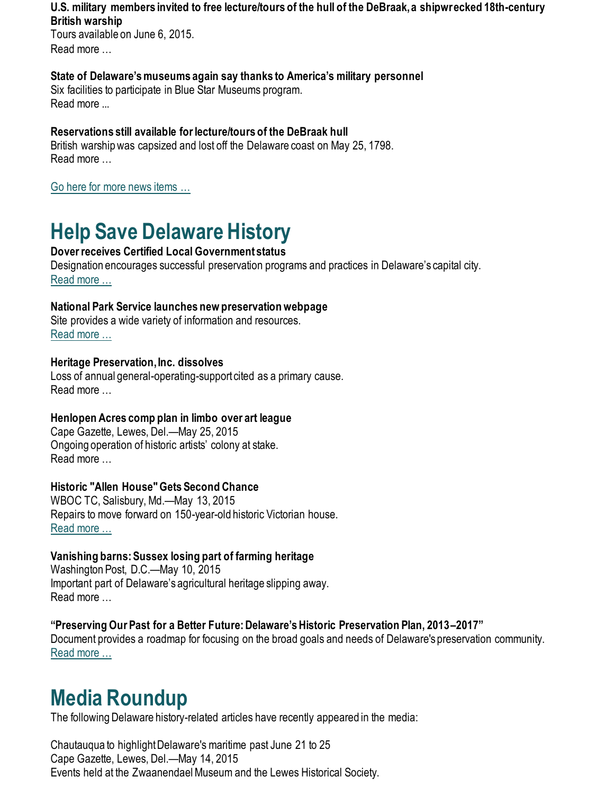#### **U.S. military members invited to free lecture/tours of the hull of the DeBraak, a shipwrecked 18th-century British warship**

Tours available on June 6, 2015. Read more

#### **State of Delaware's museums again say thanks to America's military personnel**

Six facilities to participate in Blue Star Museums program. Read more ...

#### **Reservations still available for lecture/tours of the DeBraak hull**

British warship was capsized and lost off the Delaware coast on May 25, 1798. Read more …

[Go here for more news items …](http://history.blogs.delaware.gov/)

## **Help Save Delaware History**

#### **Dover receives Certified Local Government status**

Designation encourages successful preservation programs and practices in Delaware's capital city. [Read more …](https://history.delaware.gov/2015/05/21/dover-receives-certified-local-government-status/)

#### **National Park Service launches new preservation webpage**

Site provides a wide variety of information and resources. [Read more …](https://www.nps.gov/subjects/historicpreservation/index.htm)

#### **Heritage Preservation, Inc. dissolves**

Loss of annual general-operating-support cited as a primary cause. Read more …

#### **Henlopen Acres comp plan in limbo over art league**

Cape Gazette, Lewes, Del.—May 25, 2015 Ongoing operation of historic artists' colony at stake. Read more …

#### **Historic "Allen House" Gets Second Chance**

WBOC TC, Salisbury, Md.—May 13, 2015 Repairs to move forward on 150-year-old historic Victorian house. [Read more …](https://www.wboc.com/archive/historic-allen-house-gets-second-chance/article_308a1475-79b3-5b42-83e6-852e3dba734d.html)

#### **Vanishing barns: Sussex losing part of farming heritage**

Washington Post, D.C.—May 10, 2015 Important part of Delaware's agricultural heritage slipping away. Read more …

**"Preserving Our Past for a Better Future: Delaware's Historic Preservation Plan, 2013–2017"** Document provides a roadmap for focusing on the broad goals and needs of Delaware's preservation community. [Read more …](https://history.delaware.gov/wp-content/uploads/sites/179/2019/02/Preservation-Plan-2013-2017.pdf)

## **Media Roundup**

The following Delaware history-related articles have recently appeared in the media:

Chautauqua to highlight Delaware's maritime past June 21 to 25 Cape Gazette, Lewes, Del.—May 14, 2015 Events held at the Zwaanendael Museum and the Lewes Historical Society.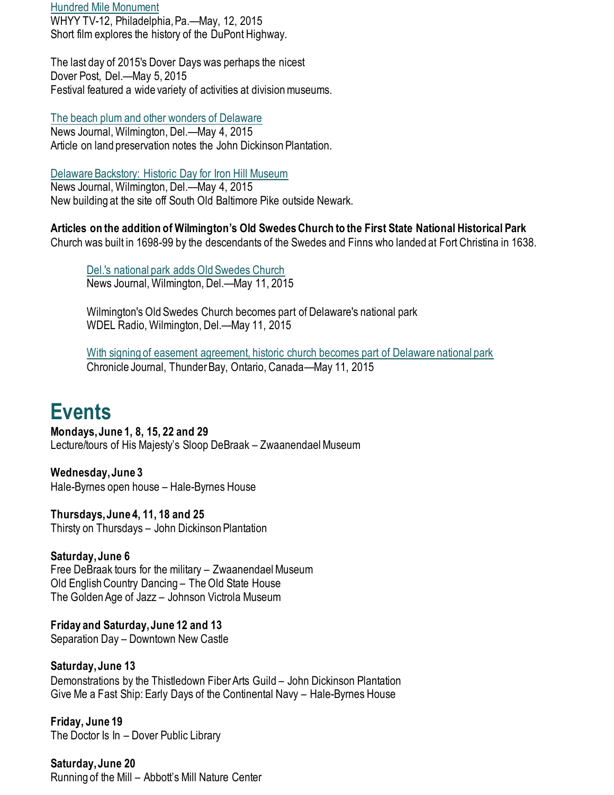[Hundred Mile Monument](http://video.whyy.org/video/2365486655/) WHYY TV-12, Philadelphia, Pa.—May, 12, 2015 Short film explores the history of the DuPont Highway.

The last day of 2015's Dover Days was perhaps the nicest Dover Post, Del.—May 5, 2015 Festival featured a wide variety of activities at division museums.

[The beach plum and other wonders of Delaware](https://www.delawareonline.com/story/opinion/contributors/2015/05/04/beach-plum-wonders-delaware/26891495/)

News Journal, Wilmington, Del.—May 4, 2015 Article on land preservation notes the John Dickinson Plantation.

[Delaware Backstory: Historic Day for Iron Hill Museum](http://www.delawareonline.com/story/news/local/2015/05/03/delaware-backstory-historic-day-iron-hill-museum/26847537/) News Journal, Wilmington, Del.—May 4, 2015 New building at the site off South Old Baltimore Pike outside Newark.

**Articles on the addition of Wilmington's Old Swedes Church to the First State National Historical Park** Church was built in 1698-99 by the descendants of the Swedes and Finns who landed at Fort Christina in 1638.

[Del.'s national park adds Old Swedes Church](https://www.delawareonline.com/story/news/local/2015/05/11/dels-national-park-adds-old-swedes-church/27128239/) News Journal, Wilmington, Del.—May 11, 2015

Wilmington's Old Swedes Church becomes part of Delaware's national park WDEL Radio, Wilmington, Del.—May 11, 2015

[With signing of easement agreement, historic church becomes part of Delaware national park](https://www.chroniclejournal.com/life/travel/with-signing-of-easement-agreement-historic-church-becomes-part-of/article_1022e614-d4b6-52be-aceb-1a18f1aa0d84.html) Chronicle Journal, Thunder Bay, Ontario, Canada—May 11, 2015

## **Events**

**Mondays, June 1, 8, 15, 22 and 29** Lecture/tours of His Majesty's Sloop DeBraak – Zwaanendael Museum

**Wednesday, June 3** Hale-Byrnes open house – Hale-Byrnes House

**Thursdays, June 4, 11, 18 and 25** Thirsty on Thursdays – John Dickinson Plantation

**Saturday, June 6** Free DeBraak tours for the military – Zwaanendael Museum Old English Country Dancing – The Old State House The Golden Age of Jazz – Johnson Victrola Museum

**Friday and Saturday, June 12 and 13** Separation Day – Downtown New Castle

**Saturday, June 13** Demonstrations by the Thistledown Fiber Arts Guild – John Dickinson Plantation Give Me a Fast Ship: Early Days of the Continental Navy – Hale-Byrnes House

**Friday, June 19** The Doctor Is In – Dover Public Library

**Saturday, June 20** Running of the Mill – Abbott's Mill Nature Center